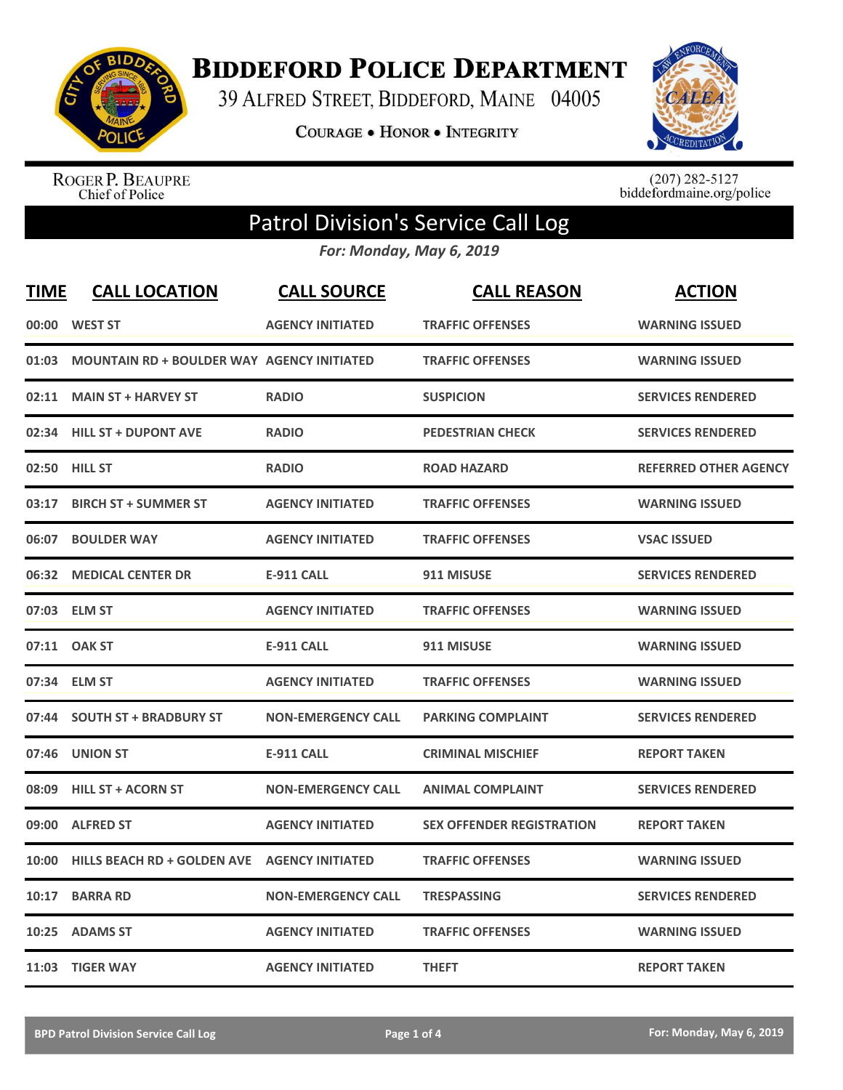

**BIDDEFORD POLICE DEPARTMENT** 

39 ALFRED STREET, BIDDEFORD, MAINE 04005

**COURAGE . HONOR . INTEGRITY** 



ROGER P. BEAUPRE<br>Chief of Police

 $(207)$  282-5127<br>biddefordmaine.org/police

## Patrol Division's Service Call Log

*For: Monday, May 6, 2019*

| <b>TIME</b> | <b>CALL LOCATION</b>                              | <b>CALL SOURCE</b>        | <b>CALL REASON</b>               | <b>ACTION</b>                |
|-------------|---------------------------------------------------|---------------------------|----------------------------------|------------------------------|
|             | 00:00 WEST ST                                     | <b>AGENCY INITIATED</b>   | <b>TRAFFIC OFFENSES</b>          | <b>WARNING ISSUED</b>        |
| 01:03       | <b>MOUNTAIN RD + BOULDER WAY AGENCY INITIATED</b> |                           | <b>TRAFFIC OFFENSES</b>          | <b>WARNING ISSUED</b>        |
| 02:11       | <b>MAIN ST + HARVEY ST</b>                        | <b>RADIO</b>              | <b>SUSPICION</b>                 | <b>SERVICES RENDERED</b>     |
| 02:34       | <b>HILL ST + DUPONT AVE</b>                       | <b>RADIO</b>              | <b>PEDESTRIAN CHECK</b>          | <b>SERVICES RENDERED</b>     |
| 02:50       | <b>HILL ST</b>                                    | <b>RADIO</b>              | <b>ROAD HAZARD</b>               | <b>REFERRED OTHER AGENCY</b> |
| 03:17       | <b>BIRCH ST + SUMMER ST</b>                       | <b>AGENCY INITIATED</b>   | <b>TRAFFIC OFFENSES</b>          | <b>WARNING ISSUED</b>        |
| 06:07       | <b>BOULDER WAY</b>                                | <b>AGENCY INITIATED</b>   | <b>TRAFFIC OFFENSES</b>          | <b>VSAC ISSUED</b>           |
| 06:32       | <b>MEDICAL CENTER DR</b>                          | <b>E-911 CALL</b>         | 911 MISUSE                       | <b>SERVICES RENDERED</b>     |
|             | 07:03 ELM ST                                      | <b>AGENCY INITIATED</b>   | <b>TRAFFIC OFFENSES</b>          | <b>WARNING ISSUED</b>        |
| 07:11       | <b>OAK ST</b>                                     | <b>E-911 CALL</b>         | 911 MISUSE                       | <b>WARNING ISSUED</b>        |
|             | 07:34 ELM ST                                      | <b>AGENCY INITIATED</b>   | <b>TRAFFIC OFFENSES</b>          | <b>WARNING ISSUED</b>        |
| 07:44       | <b>SOUTH ST + BRADBURY ST</b>                     | <b>NON-EMERGENCY CALL</b> | <b>PARKING COMPLAINT</b>         | <b>SERVICES RENDERED</b>     |
| 07:46       | <b>UNION ST</b>                                   | <b>E-911 CALL</b>         | <b>CRIMINAL MISCHIEF</b>         | <b>REPORT TAKEN</b>          |
| 08:09       | <b>HILL ST + ACORN ST</b>                         | <b>NON-EMERGENCY CALL</b> | <b>ANIMAL COMPLAINT</b>          | <b>SERVICES RENDERED</b>     |
| 09:00       | <b>ALFRED ST</b>                                  | <b>AGENCY INITIATED</b>   | <b>SEX OFFENDER REGISTRATION</b> | <b>REPORT TAKEN</b>          |
| 10:00       | <b>HILLS BEACH RD + GOLDEN AVE</b>                | <b>AGENCY INITIATED</b>   | <b>TRAFFIC OFFENSES</b>          | <b>WARNING ISSUED</b>        |
| 10:17       | <b>BARRA RD</b>                                   | <b>NON-EMERGENCY CALL</b> | <b>TRESPASSING</b>               | <b>SERVICES RENDERED</b>     |
| 10:25       | <b>ADAMS ST</b>                                   | <b>AGENCY INITIATED</b>   | <b>TRAFFIC OFFENSES</b>          | <b>WARNING ISSUED</b>        |
|             | 11:03 TIGER WAY                                   | <b>AGENCY INITIATED</b>   | <b>THEFT</b>                     | <b>REPORT TAKEN</b>          |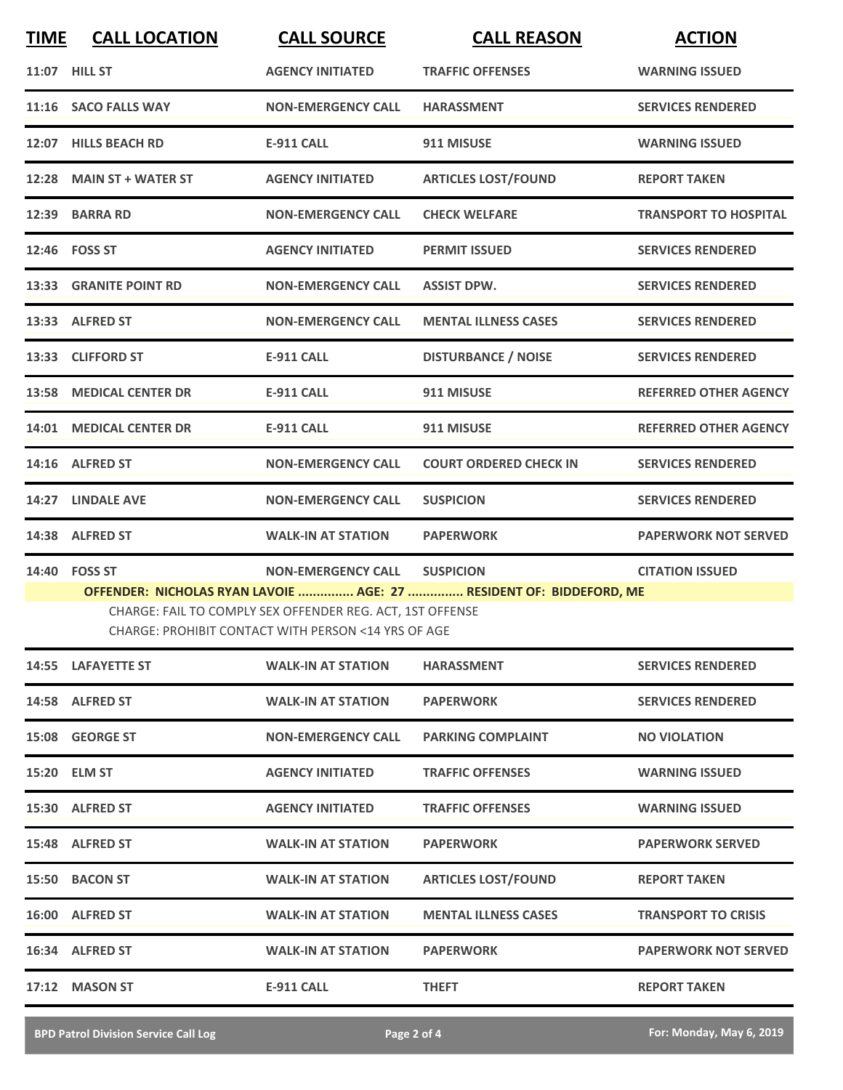| <b>TIME</b> | <b>CALL LOCATION</b>     | <b>CALL SOURCE</b>                                                                                               | <b>CALL REASON</b>                                                  | <b>ACTION</b>                |
|-------------|--------------------------|------------------------------------------------------------------------------------------------------------------|---------------------------------------------------------------------|------------------------------|
|             | 11:07 HILL ST            | <b>AGENCY INITIATED</b>                                                                                          | <b>TRAFFIC OFFENSES</b>                                             | <b>WARNING ISSUED</b>        |
|             | 11:16 SACO FALLS WAY     | <b>NON-EMERGENCY CALL</b>                                                                                        | <b>HARASSMENT</b>                                                   | <b>SERVICES RENDERED</b>     |
|             | 12:07 HILLS BEACH RD     | <b>E-911 CALL</b>                                                                                                | 911 MISUSE                                                          | <b>WARNING ISSUED</b>        |
|             | 12:28 MAIN ST + WATER ST | <b>AGENCY INITIATED</b>                                                                                          | <b>ARTICLES LOST/FOUND</b>                                          | <b>REPORT TAKEN</b>          |
|             | 12:39 BARRA RD           | <b>NON-EMERGENCY CALL</b>                                                                                        | <b>CHECK WELFARE</b>                                                | <b>TRANSPORT TO HOSPITAL</b> |
|             | 12:46  FOSS ST           | <b>AGENCY INITIATED</b>                                                                                          | <b>PERMIT ISSUED</b>                                                | <b>SERVICES RENDERED</b>     |
|             | 13:33 GRANITE POINT RD   | <b>NON-EMERGENCY CALL</b>                                                                                        | <b>ASSIST DPW.</b>                                                  | <b>SERVICES RENDERED</b>     |
|             | 13:33 ALFRED ST          | <b>NON-EMERGENCY CALL</b>                                                                                        | <b>MENTAL ILLNESS CASES</b>                                         | <b>SERVICES RENDERED</b>     |
|             | 13:33 CLIFFORD ST        | <b>E-911 CALL</b>                                                                                                | <b>DISTURBANCE / NOISE</b>                                          | <b>SERVICES RENDERED</b>     |
|             | 13:58 MEDICAL CENTER DR  | <b>E-911 CALL</b>                                                                                                | 911 MISUSE                                                          | <b>REFERRED OTHER AGENCY</b> |
|             | 14:01 MEDICAL CENTER DR  | <b>E-911 CALL</b>                                                                                                | 911 MISUSE                                                          | <b>REFERRED OTHER AGENCY</b> |
|             | 14:16 ALFRED ST          | <b>NON-EMERGENCY CALL</b>                                                                                        | <b>COURT ORDERED CHECK IN</b>                                       | <b>SERVICES RENDERED</b>     |
|             | 14:27 LINDALE AVE        | <b>NON-EMERGENCY CALL</b>                                                                                        | <b>SUSPICION</b>                                                    | <b>SERVICES RENDERED</b>     |
|             |                          |                                                                                                                  |                                                                     |                              |
|             | 14:38 ALFRED ST          | <b>WALK-IN AT STATION</b>                                                                                        | <b>PAPERWORK</b>                                                    | <b>PAPERWORK NOT SERVED</b>  |
|             | 14:40 FOSS ST            | <b>NON-EMERGENCY CALL</b>                                                                                        | <b>SUSPICION</b>                                                    | <b>CITATION ISSUED</b>       |
|             |                          | CHARGE: FAIL TO COMPLY SEX OFFENDER REG. ACT, 1ST OFFENSE<br>CHARGE: PROHIBIT CONTACT WITH PERSON <14 YRS OF AGE | OFFENDER: NICHOLAS RYAN LAVOIE  AGE: 27  RESIDENT OF: BIDDEFORD, ME |                              |
|             | 14:55 LAFAYETTE ST       | <b>WALK-IN AT STATION</b>                                                                                        | <b>HARASSMENT</b>                                                   | <b>SERVICES RENDERED</b>     |
|             | 14:58 ALFRED ST          | <b>WALK-IN AT STATION</b>                                                                                        | <b>PAPERWORK</b>                                                    | <b>SERVICES RENDERED</b>     |
|             | 15:08 GEORGE ST          | <b>NON-EMERGENCY CALL</b>                                                                                        | <b>PARKING COMPLAINT</b>                                            | <b>NO VIOLATION</b>          |
|             | 15:20 ELM ST             | <b>AGENCY INITIATED</b>                                                                                          | <b>TRAFFIC OFFENSES</b>                                             | <b>WARNING ISSUED</b>        |
|             | 15:30 ALFRED ST          | <b>AGENCY INITIATED</b>                                                                                          | <b>TRAFFIC OFFENSES</b>                                             | <b>WARNING ISSUED</b>        |
|             | 15:48 ALFRED ST          | <b>WALK-IN AT STATION</b>                                                                                        | <b>PAPERWORK</b>                                                    | <b>PAPERWORK SERVED</b>      |
|             | 15:50 BACON ST           | <b>WALK-IN AT STATION</b>                                                                                        | <b>ARTICLES LOST/FOUND</b>                                          | <b>REPORT TAKEN</b>          |
|             | 16:00 ALFRED ST          | <b>WALK-IN AT STATION</b>                                                                                        | <b>MENTAL ILLNESS CASES</b>                                         | <b>TRANSPORT TO CRISIS</b>   |
|             | 16:34 ALFRED ST          | <b>WALK-IN AT STATION</b>                                                                                        | <b>PAPERWORK</b>                                                    | <b>PAPERWORK NOT SERVED</b>  |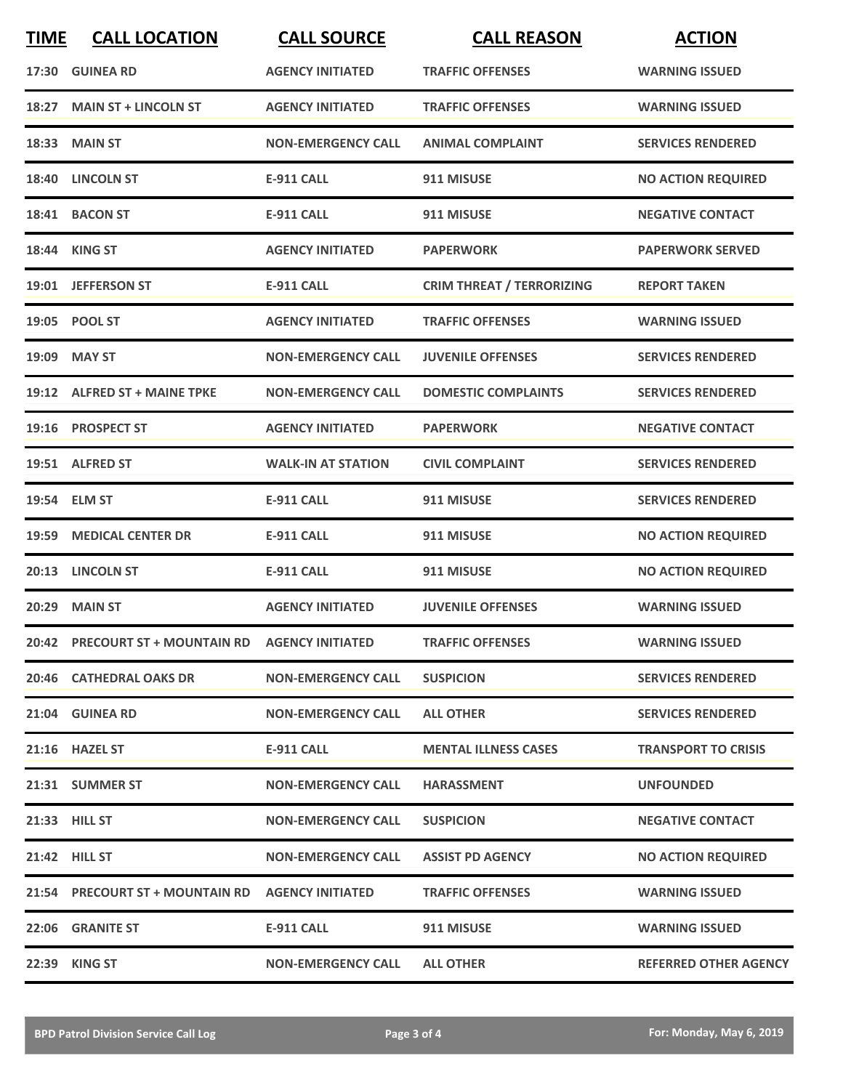| <b>TIME</b> | <b>CALL LOCATION</b>                             | <b>CALL SOURCE</b>        | <b>CALL REASON</b>               | <b>ACTION</b>                |
|-------------|--------------------------------------------------|---------------------------|----------------------------------|------------------------------|
|             | 17:30 GUINEA RD                                  | <b>AGENCY INITIATED</b>   | <b>TRAFFIC OFFENSES</b>          | <b>WARNING ISSUED</b>        |
| 18:27       | <b>MAIN ST + LINCOLN ST</b>                      | <b>AGENCY INITIATED</b>   | <b>TRAFFIC OFFENSES</b>          | <b>WARNING ISSUED</b>        |
|             | 18:33 MAIN ST                                    | <b>NON-EMERGENCY CALL</b> | <b>ANIMAL COMPLAINT</b>          | <b>SERVICES RENDERED</b>     |
| 18:40       | <b>LINCOLN ST</b>                                | <b>E-911 CALL</b>         | 911 MISUSE                       | <b>NO ACTION REQUIRED</b>    |
|             | 18:41 BACON ST                                   | <b>E-911 CALL</b>         | 911 MISUSE                       | <b>NEGATIVE CONTACT</b>      |
|             | 18:44 KING ST                                    | <b>AGENCY INITIATED</b>   | <b>PAPERWORK</b>                 | <b>PAPERWORK SERVED</b>      |
|             | 19:01 JEFFERSON ST                               | <b>E-911 CALL</b>         | <b>CRIM THREAT / TERRORIZING</b> | <b>REPORT TAKEN</b>          |
|             | 19:05 POOL ST                                    | <b>AGENCY INITIATED</b>   | <b>TRAFFIC OFFENSES</b>          | <b>WARNING ISSUED</b>        |
|             | 19:09 MAY ST                                     | <b>NON-EMERGENCY CALL</b> | <b>JUVENILE OFFENSES</b>         | <b>SERVICES RENDERED</b>     |
|             | 19:12 ALFRED ST + MAINE TPKE                     | <b>NON-EMERGENCY CALL</b> | <b>DOMESTIC COMPLAINTS</b>       | <b>SERVICES RENDERED</b>     |
|             | 19:16 PROSPECT ST                                | <b>AGENCY INITIATED</b>   | <b>PAPERWORK</b>                 | <b>NEGATIVE CONTACT</b>      |
|             | 19:51 ALFRED ST                                  | <b>WALK-IN AT STATION</b> | <b>CIVIL COMPLAINT</b>           | <b>SERVICES RENDERED</b>     |
|             | 19:54 ELM ST                                     | <b>E-911 CALL</b>         | 911 MISUSE                       | <b>SERVICES RENDERED</b>     |
| 19:59       | <b>MEDICAL CENTER DR</b>                         | <b>E-911 CALL</b>         | 911 MISUSE                       | <b>NO ACTION REQUIRED</b>    |
|             | 20:13 LINCOLN ST                                 | <b>E-911 CALL</b>         | 911 MISUSE                       | <b>NO ACTION REQUIRED</b>    |
|             | 20:29 MAIN ST                                    | <b>AGENCY INITIATED</b>   | <b>JUVENILE OFFENSES</b>         | <b>WARNING ISSUED</b>        |
|             | 20:42 PRECOURT ST + MOUNTAIN RD AGENCY INITIATED |                           | <b>TRAFFIC OFFENSES</b>          | <b>WARNING ISSUED</b>        |
|             | 20:46 CATHEDRAL OAKS DR                          | <b>NON-EMERGENCY CALL</b> | <b>SUSPICION</b>                 | <b>SERVICES RENDERED</b>     |
|             | 21:04 GUINEA RD                                  | <b>NON-EMERGENCY CALL</b> | <b>ALL OTHER</b>                 | <b>SERVICES RENDERED</b>     |
|             | 21:16 HAZEL ST                                   | E-911 CALL                | <b>MENTAL ILLNESS CASES</b>      | <b>TRANSPORT TO CRISIS</b>   |
|             | 21:31 SUMMER ST                                  | <b>NON-EMERGENCY CALL</b> | <b>HARASSMENT</b>                | <b>UNFOUNDED</b>             |
|             | 21:33 HILL ST                                    | <b>NON-EMERGENCY CALL</b> | <b>SUSPICION</b>                 | <b>NEGATIVE CONTACT</b>      |
|             | 21:42 HILL ST                                    | <b>NON-EMERGENCY CALL</b> | <b>ASSIST PD AGENCY</b>          | <b>NO ACTION REQUIRED</b>    |
|             | 21:54 PRECOURT ST + MOUNTAIN RD                  | <b>AGENCY INITIATED</b>   | <b>TRAFFIC OFFENSES</b>          | <b>WARNING ISSUED</b>        |
|             | 22:06 GRANITE ST                                 | E-911 CALL                | 911 MISUSE                       | <b>WARNING ISSUED</b>        |
|             | 22:39 KING ST                                    | <b>NON-EMERGENCY CALL</b> | <b>ALL OTHER</b>                 | <b>REFERRED OTHER AGENCY</b> |